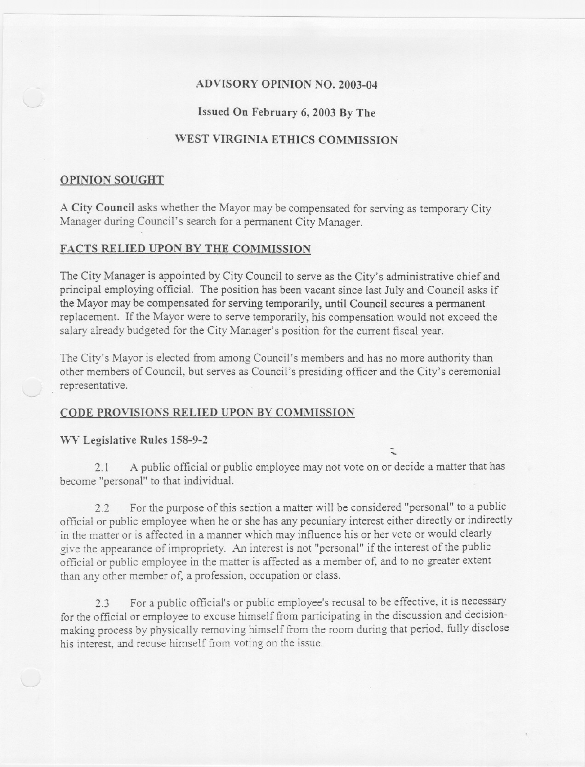# ADVISORY OPINION NO. 2003-04

### Issued On February 6, 2003 By The

# WEST VIRGINIA ETHICS COMMISSION

### OPINION SOUGHT

A City Council asks whether the Mayor may be compensated for serving as temporary City Manager during Council's search for a permanent City Manager.

### FACTS RELIED UPON BY THE COMMISSION

The City Manager is appointed by City Council to serve as the City's administrative chief and principal employing official. The position has been vacant since last July and Council asks if the Mayor may be compensated for serving temporarily, until Council secures a permanent replacement. If the Mayor were to serve temporarily, his compensation would not exceed the salary already budgeted for the City Manager's position for the current fiscal year.

The City's Mayor is elected from among Council's members and has no more authority than other members of Council, but serves as Council's presiding officer and the City's ceremonial representative.

### CODE PROVISIONS RELIED UPON BY COMMISSION

WV Legislative Rules 158-9-2

....

2.1 A public official or public employee may not vote on or decide a matter that has become "personal" to that individual.

2.2 For the purpose of this section a matter will be considered "personal" to a public official or public employee when he or she has any pecuniary interest either directly or indirectly in the matter or is affected in a manner which may influence his or her vote or would clearly give the appearance of impropriety. An interest is not "personal" if the interest of the public official or public employee in the matter is affected as a member of, and to no greater extent than any other member of, a profession, occupation or class.

2.3 For a public official's or public employee's recusal to be effective, it is necessary for the official or employee to excuse himself from participating in the discussion and decisionmaking process by physically removing himself from the room during that period, fully disclose his interest, and recuse himself from voting on the issue.